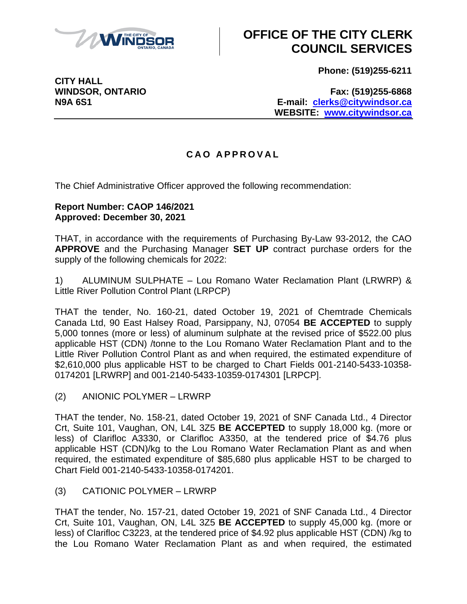

# **OFFICE OF THE CITY CLERK COUNCIL SERVICES**

**Phone: (519)255-6211**

**WINDSOR, ONTARIO Fax: (519)255-6868 N9A 6S1 E-mail: [clerks@citywindsor.ca](mailto:clerks@citywindsor.ca) WEBSITE: [www.citywindsor.ca](http://www.citywindsor.ca/)**

### **C A O A P P R O V A L**

The Chief Administrative Officer approved the following recommendation:

#### **Report Number: CAOP 146/2021 Approved: December 30, 2021**

THAT, in accordance with the requirements of Purchasing By-Law 93-2012, the CAO **APPROVE** and the Purchasing Manager **SET UP** contract purchase orders for the supply of the following chemicals for 2022:

1) ALUMINUM SULPHATE – Lou Romano Water Reclamation Plant (LRWRP) & Little River Pollution Control Plant (LRPCP)

THAT the tender, No. 160-21, dated October 19, 2021 of Chemtrade Chemicals Canada Ltd, 90 East Halsey Road, Parsippany, NJ, 07054 **BE ACCEPTED** to supply 5,000 tonnes (more or less) of aluminum sulphate at the revised price of \$522.00 plus applicable HST (CDN) /tonne to the Lou Romano Water Reclamation Plant and to the Little River Pollution Control Plant as and when required, the estimated expenditure of \$2,610,000 plus applicable HST to be charged to Chart Fields 001-2140-5433-10358- 0174201 [LRWRP] and 001-2140-5433-10359-0174301 [LRPCP].

(2) ANIONIC POLYMER – LRWRP

THAT the tender, No. 158-21, dated October 19, 2021 of SNF Canada Ltd., 4 Director Crt, Suite 101, Vaughan, ON, L4L 3Z5 **BE ACCEPTED** to supply 18,000 kg. (more or less) of Clarifloc A3330, or Clarifloc A3350, at the tendered price of \$4.76 plus applicable HST (CDN)/kg to the Lou Romano Water Reclamation Plant as and when required, the estimated expenditure of \$85,680 plus applicable HST to be charged to Chart Field 001-2140-5433-10358-0174201.

(3) CATIONIC POLYMER – LRWRP

THAT the tender, No. 157-21, dated October 19, 2021 of SNF Canada Ltd., 4 Director Crt, Suite 101, Vaughan, ON, L4L 3Z5 **BE ACCEPTED** to supply 45,000 kg. (more or less) of Clarifloc C3223, at the tendered price of \$4.92 plus applicable HST (CDN) /kg to the Lou Romano Water Reclamation Plant as and when required, the estimated

**CITY HALL**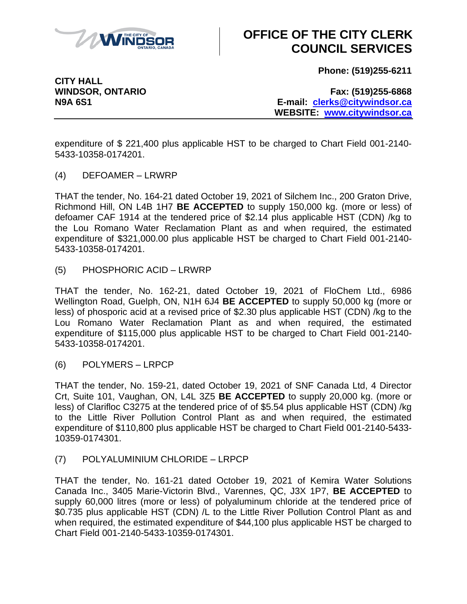

# **OFFICE OF THE CITY CLERK COUNCIL SERVICES**

**Phone: (519)255-6211**

**CITY HALL**

**WINDSOR, ONTARIO Fax: (519)255-6868 N9A 6S1 E-mail: [clerks@citywindsor.ca](mailto:clerks@citywindsor.ca) WEBSITE: [www.citywindsor.ca](http://www.citywindsor.ca/)**

expenditure of \$ 221,400 plus applicable HST to be charged to Chart Field 001-2140- 5433-10358-0174201.

(4) DEFOAMER – LRWRP

THAT the tender, No. 164-21 dated October 19, 2021 of Silchem Inc., 200 Graton Drive, Richmond Hill, ON L4B 1H7 **BE ACCEPTED** to supply 150,000 kg. (more or less) of defoamer CAF 1914 at the tendered price of \$2.14 plus applicable HST (CDN) /kg to the Lou Romano Water Reclamation Plant as and when required, the estimated expenditure of \$321,000.00 plus applicable HST be charged to Chart Field 001-2140- 5433-10358-0174201.

(5) PHOSPHORIC ACID – LRWRP

THAT the tender, No. 162-21, dated October 19, 2021 of FloChem Ltd., 6986 Wellington Road, Guelph, ON, N1H 6J4 **BE ACCEPTED** to supply 50,000 kg (more or less) of phosporic acid at a revised price of \$2.30 plus applicable HST (CDN) /kg to the Lou Romano Water Reclamation Plant as and when required, the estimated expenditure of \$115,000 plus applicable HST to be charged to Chart Field 001-2140- 5433-10358-0174201.

(6) POLYMERS – LRPCP

THAT the tender, No. 159-21, dated October 19, 2021 of SNF Canada Ltd, 4 Director Crt, Suite 101, Vaughan, ON, L4L 3Z5 **BE ACCEPTED** to supply 20,000 kg. (more or less) of Clarifloc C3275 at the tendered price of of \$5.54 plus applicable HST (CDN) /kg to the Little River Pollution Control Plant as and when required, the estimated expenditure of \$110,800 plus applicable HST be charged to Chart Field 001-2140-5433- 10359-0174301.

(7) POLYALUMINIUM CHLORIDE – LRPCP

THAT the tender, No. 161-21 dated October 19, 2021 of Kemira Water Solutions Canada Inc., 3405 Marie-Victorin Blvd., Varennes, QC, J3X 1P7, **BE ACCEPTED** to supply 60,000 litres (more or less) of polyaluminum chloride at the tendered price of \$0.735 plus applicable HST (CDN) /L to the Little River Pollution Control Plant as and when required, the estimated expenditure of \$44,100 plus applicable HST be charged to Chart Field 001-2140-5433-10359-0174301.